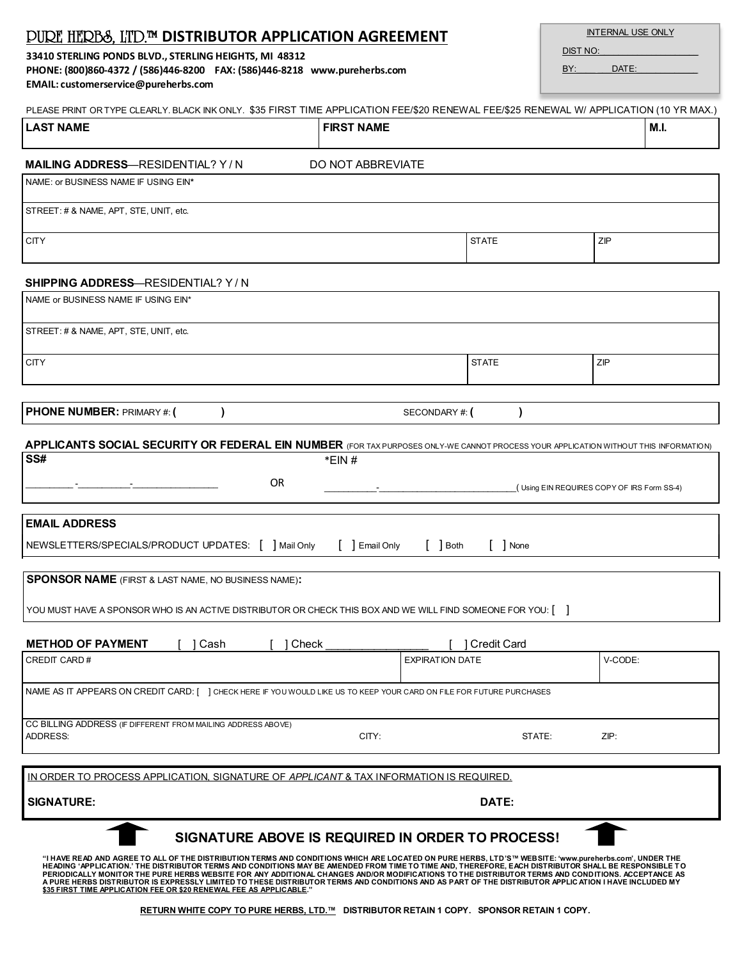| BY:<br>DATE:<br>PHONE: (800)860-4372 / (586)446-8200 FAX: (586)446-8218 www.pureherbs.com<br>EMAIL: customerservice@pureherbs.com                                                                                                                                                                                                                                                                                                                                                                                                                                                                                                                                                                      |                                  |                    |                                            |  |  |  |
|--------------------------------------------------------------------------------------------------------------------------------------------------------------------------------------------------------------------------------------------------------------------------------------------------------------------------------------------------------------------------------------------------------------------------------------------------------------------------------------------------------------------------------------------------------------------------------------------------------------------------------------------------------------------------------------------------------|----------------------------------|--------------------|--------------------------------------------|--|--|--|
| PLEASE PRINT OR TYPE CLEARLY. BLACK INK ONLY. \$35 FIRST TIME APPLICATION FEE/\$20 RENEWAL FEE/\$25 RENEWAL W/ APPLICATION (10 YR MAX.)                                                                                                                                                                                                                                                                                                                                                                                                                                                                                                                                                                |                                  |                    |                                            |  |  |  |
| <b>LAST NAME</b>                                                                                                                                                                                                                                                                                                                                                                                                                                                                                                                                                                                                                                                                                       | <b>FIRST NAME</b>                |                    | M.I.                                       |  |  |  |
| <b>MAILING ADDRESS-RESIDENTIAL? Y/N</b>                                                                                                                                                                                                                                                                                                                                                                                                                                                                                                                                                                                                                                                                | DO NOT ABBREVIATE                |                    |                                            |  |  |  |
| NAME: or BUSINESS NAME IF USING EIN*                                                                                                                                                                                                                                                                                                                                                                                                                                                                                                                                                                                                                                                                   |                                  |                    |                                            |  |  |  |
| STREET: # & NAME, APT, STE, UNIT, etc.                                                                                                                                                                                                                                                                                                                                                                                                                                                                                                                                                                                                                                                                 |                                  |                    |                                            |  |  |  |
| <b>CITY</b>                                                                                                                                                                                                                                                                                                                                                                                                                                                                                                                                                                                                                                                                                            |                                  | <b>STATE</b>       | ZIP                                        |  |  |  |
| <b>SHIPPING ADDRESS-RESIDENTIAL? Y/N</b>                                                                                                                                                                                                                                                                                                                                                                                                                                                                                                                                                                                                                                                               |                                  |                    |                                            |  |  |  |
| NAME or BUSINESS NAME IF USING EIN*                                                                                                                                                                                                                                                                                                                                                                                                                                                                                                                                                                                                                                                                    |                                  |                    |                                            |  |  |  |
| STREET: # & NAME, APT, STE, UNIT, etc.                                                                                                                                                                                                                                                                                                                                                                                                                                                                                                                                                                                                                                                                 |                                  |                    |                                            |  |  |  |
| <b>CITY</b>                                                                                                                                                                                                                                                                                                                                                                                                                                                                                                                                                                                                                                                                                            |                                  | <b>STATE</b>       | ZIP                                        |  |  |  |
|                                                                                                                                                                                                                                                                                                                                                                                                                                                                                                                                                                                                                                                                                                        |                                  |                    |                                            |  |  |  |
| <b>PHONE NUMBER: PRIMARY #: (</b>                                                                                                                                                                                                                                                                                                                                                                                                                                                                                                                                                                                                                                                                      | SECONDARY#: (                    |                    |                                            |  |  |  |
| APPLICANTS SOCIAL SECURITY OR FEDERAL EIN NUMBER (FOR TAX PURPOSES ONLY-WE CANNOT PROCESS YOUR APPLICATION WITHOUT THIS INFORMATION)                                                                                                                                                                                                                                                                                                                                                                                                                                                                                                                                                                   |                                  |                    |                                            |  |  |  |
| SS#<br>$*$ EIN#                                                                                                                                                                                                                                                                                                                                                                                                                                                                                                                                                                                                                                                                                        |                                  |                    |                                            |  |  |  |
| <b>OR</b>                                                                                                                                                                                                                                                                                                                                                                                                                                                                                                                                                                                                                                                                                              |                                  |                    | (Using EIN REQUIRES COPY OF IRS Form SS-4) |  |  |  |
| <b>EMAIL ADDRESS</b>                                                                                                                                                                                                                                                                                                                                                                                                                                                                                                                                                                                                                                                                                   |                                  |                    |                                            |  |  |  |
| NEWSLETTERS/SPECIALS/PRODUCT UPDATES: [ ] Mail Only                                                                                                                                                                                                                                                                                                                                                                                                                                                                                                                                                                                                                                                    | $[$ $]$ Both<br>$[$ ] Email Only | $[$ ] None         |                                            |  |  |  |
| <b>SPONSOR NAME</b> (FIRST & LAST NAME, NO BUSINESS NAME):                                                                                                                                                                                                                                                                                                                                                                                                                                                                                                                                                                                                                                             |                                  |                    |                                            |  |  |  |
| YOU MUST HAVE A SPONSOR WHO IS AN ACTIVE DISTRIBUTOR OR CHECK THIS BOX AND WE WILL FIND SOMEONE FOR YOU: $\lceil \quad \rceil$                                                                                                                                                                                                                                                                                                                                                                                                                                                                                                                                                                         |                                  |                    |                                            |  |  |  |
| <b>METHOD OF PAYMENT</b><br>Cash<br>Check                                                                                                                                                                                                                                                                                                                                                                                                                                                                                                                                                                                                                                                              |                                  | <b>Credit Card</b> |                                            |  |  |  |
| CREDIT CARD#                                                                                                                                                                                                                                                                                                                                                                                                                                                                                                                                                                                                                                                                                           | <b>EXPIRATION DATE</b>           |                    | V-CODE:                                    |  |  |  |
| NAME AS IT APPEARS ON CREDIT CARD: [ ] CHECK HERE IF YOU WOULD LIKE US TO KEEP YOUR CARD ON FILE FOR FUTURE PURCHASES                                                                                                                                                                                                                                                                                                                                                                                                                                                                                                                                                                                  |                                  |                    |                                            |  |  |  |
| CC BILLING ADDRESS (IF DIFFERENT FROM MAILING ADDRESS ABOVE)                                                                                                                                                                                                                                                                                                                                                                                                                                                                                                                                                                                                                                           |                                  |                    |                                            |  |  |  |
| <b>ADDRESS:</b>                                                                                                                                                                                                                                                                                                                                                                                                                                                                                                                                                                                                                                                                                        | CITY:                            | STATE:             | ZIP:                                       |  |  |  |
| <u>IN ORDER TO PROCESS APPLICATION, SIGNATURE OF <i>APPLICANT</i> &amp; TAX INFORMATION IS REQUIRED.</u>                                                                                                                                                                                                                                                                                                                                                                                                                                                                                                                                                                                               |                                  |                    |                                            |  |  |  |
| <b>SIGNATURE:</b>                                                                                                                                                                                                                                                                                                                                                                                                                                                                                                                                                                                                                                                                                      | DATE:                            |                    |                                            |  |  |  |
| SIGNATURE ABOVE IS REQUIRED IN ORDER TO PROCESS!                                                                                                                                                                                                                                                                                                                                                                                                                                                                                                                                                                                                                                                       |                                  |                    |                                            |  |  |  |
| "I HAVE READ AND AGREE TO ALL OF THE DISTRIBUTION TERMS AND CONDITIONS WHICH ARE LOCATED ON PURE HERBS, LTD'S™ WEBSITE: 'www.pureherbs.com', UNDER THE<br>HEADING 'APPLICATION.' THE DISTRIBUTOR TERMS AND CONDITIONS MAY BE AMENDED FROM TIME TO TIME AND, THEREFORE, EACH DISTRIBUTOR SHALL BE RESPONSIBLE TO<br>PERIODICALLY MONITOR THE PURE HERBS WEBSITE FOR ANY ADDITIONAL CHANGES AND/OR MODIFICATIONS TO THE DISTRIBUTOR TERMS AND CONDITIONS. ACCEPTANCE AS<br>A PURE HERBS DISTRIBUTOR IS EXPRESSLY LIMITED TO THESE DISTRIBUTOR TERMS AND CONDITIONS AND AS PART OF THE DISTRIBUTOR APPLIC ATION I HAVE INCLUDED MY<br>\$35 FIRST TIME APPLICATION FEE OR \$20 RENEWAL FEE AS APPLICABLE." |                                  |                    |                                            |  |  |  |

## PURE HERBS, LTD.™ **DISTRIBUTOR APPLICATION AGREEMENT**

**33410 STERLING PONDS BLVD., STERLING HEIGHTS, MI 48312**

DIST NO:

INTERNAL USE ONLY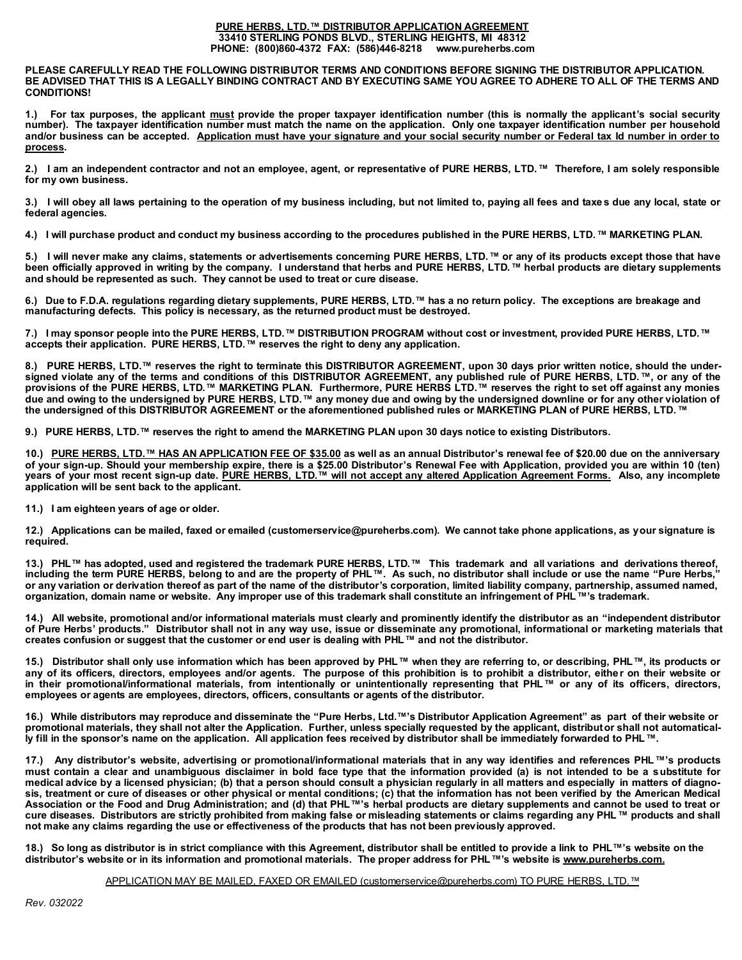## **PURE HERBS, LTD.™ DISTRIBUTOR APPLICATION AGREEMENT 33410 STERLING PONDS BLVD., STERLING HEIGHTS, MI 48312 PHONE: (800)860-4372 FAX: (586)446-8218 www.pureherbs.com**

**PLEASE CAREFULLY READ THE FOLLOWING DISTRIBUTOR TERMS AND CONDITIONS BEFORE SIGNING THE DISTRIBUTOR APPLICATION. BE ADVISED THAT THIS IS A LEGALLY BINDING CONTRACT AND BY EXECUTING SAME YOU AGREE TO ADHERE TO ALL OF THE TERMS AND CONDITIONS!**

**1.) For tax purposes, the applicant must provide the proper taxpayer identification number (this is normally the applicant's social security number). The taxpayer identification number must match the name on the application. Only one taxpayer identification number per household and/or business can be accepted. Application must have your signature and your social security number or Federal tax Id number in order to process.** 

**2.) I am an independent contractor and not an employee, agent, or representative of PURE HERBS, LTD.™ Therefore, I am solely responsible for my own business.**

**3.) I will obey all laws pertaining to the operation of my business including, but not limited to, paying all fees and taxe s due any local, state or federal agencies.**

**4.) I will purchase product and conduct my business according to the procedures published in the PURE HERBS, LTD.™ MARKETING PLAN.**

**5.) I will never make any claims, statements or advertisements concerning PURE HERBS, LTD.™ or any of its products except those that have been officially approved in writing by the company. I understand that herbs and PURE HERBS, LTD.™ herbal products are dietary supplements and should be represented as such. They cannot be used to treat or cure disease.**

**6.) Due to F.D.A. regulations regarding dietary supplements, PURE HERBS, LTD.™ has a no return policy. The exceptions are breakage and manufacturing defects. This policy is necessary, as the returned product must be destroyed.** 

**7.) I may sponsor people into the PURE HERBS, LTD.™ DISTRIBUTION PROGRAM without cost or investment, provided PURE HERBS, LTD.™ accepts their application. PURE HERBS, LTD.™ reserves the right to deny any application.**

**8.) PURE HERBS, LTD.™ reserves the right to terminate this DISTRIBUTOR AGREEMENT, upon 30 days prior written notice, should the undersigned violate any of the terms and conditions of this DISTRIBUTOR AGREEMENT, any published rule of PURE HERBS, LTD.™, or any of the provisions of the PURE HERBS, LTD.™ MARKETING PLAN. Furthermore, PURE HERBS LTD.™ reserves the right to set off against any monies due and owing to the undersigned by PURE HERBS, LTD.™ any money due and owing by the undersigned downline or for any other violation of the undersigned of this DISTRIBUTOR AGREEMENT or the aforementioned published rules or MARKETING PLAN of PURE HERBS, LTD.™**

**9.) PURE HERBS, LTD.™ reserves the right to amend the MARKETING PLAN upon 30 days notice to existing Distributors.**

**10.) PURE HERBS, LTD.™ HAS AN APPLICATION FEE OF \$35.00 as well as an annual Distributor's renewal fee of \$20.00 due on the anniversary of your sign-up. Should your membership expire, there is a \$25.00 Distributor's Renewal Fee with Application, provided you are within 10 (ten) years of your most recent sign-up date. PURE HERBS, LTD.™ will not accept any altered Application Agreement Forms. Also, any incomplete application will be sent back to the applicant.** 

**11.) I am eighteen years of age or older.**

**12.) Applications can be mailed, faxed or emailed (customerservice@pureherbs.com). We cannot take phone applications, as your signature is required.**

**13.) PHL™ has adopted, used and registered the trademark PURE HERBS, LTD.™ This trademark and all variations and derivations thereof, including the term PURE HERBS, belong to and are the property of PHL™. As such, no distributor shall include or use the name "Pure Herbs," or any variation or derivation thereof as part of the name of the distributor's corporation, limited liability company, partnership, assumed named, organization, domain name or website. Any improper use of this trademark shall constitute an infringement of PHL™'s trademark.**

**14.) All website, promotional and/or informational materials must clearly and prominently identify the distributor as an "independent distributor of Pure Herbs' products." Distributor shall not in any way use, issue or disseminate any promotional, informational or marketing materials that creates confusion or suggest that the customer or end user is dealing with PHL™ and not the distributor.**

**15.) Distributor shall only use information which has been approved by PHL™ when they are referring to, or describing, PHL™, its products or any of its officers, directors, employees and/or agents. The purpose of this prohibition is to prohibit a distributor, either on their website or in their promotional/informational materials, from intentionally or unintentionally representing that PHL™ or any of its officers, directors, employees or agents are employees, directors, officers, consultants or agents of the distributor.**

**16.) While distributors may reproduce and disseminate the "Pure Herbs, Ltd.™'s Distributor Application Agreement" as part of their website or promotional materials, they shall not alter the Application. Further, unless specially requested by the applicant, distributor shall not automatically fill in the sponsor's name on the application. All application fees received by distributor shall be immediately forwarded to PHL™.** 

**17.) Any distributor's website, advertising or promotional/informational materials that in any way identifies and references PHL™'s products must contain a clear and unambiguous disclaimer in bold face type that the information provided (a) is not intended to be a substitute for medical advice by a licensed physician; (b) that a person should consult a physician regularly in all matters and especially in matters of diagnosis, treatment or cure of diseases or other physical or mental conditions; (c) that the information has not been verified by the American Medical Association or the Food and Drug Administration; and (d) that PHL™'s herbal products are dietary supplements and cannot be used to treat or cure diseases. Distributors are strictly prohibited from making false or misleading statements or claims regarding any PHL™ products and shall not make any claims regarding the use or effectiveness of the products that has not been previously approved.**

**18.) So long as distributor is in strict compliance with this Agreement, distributor shall be entitled to provide a link to PHL™'s website on the distributor's website or in its information and promotional materials. The proper address for PHL™'s website is www.pureherbs.com.**

APPLICATION MAY BE MAILED, FAXED OR EMAILED (customerservice@pureherbs.com) TO PURE HERBS, LTD.™